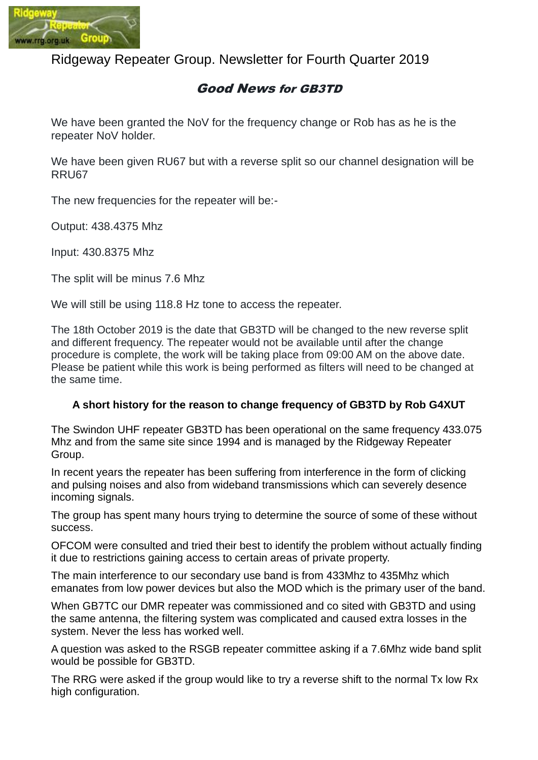

Ridgeway Repeater Group. Newsletter for Fourth Quarter 2019

## Good News for GB3TD

We have been granted the NoV for the frequency change or Rob has as he is the repeater NoV holder.

We have been given RU67 but with a reverse split so our channel designation will be RRU67

The new frequencies for the repeater will be:-

Output: 438.4375 Mhz

Input: 430.8375 Mhz

The split will be minus 7.6 Mhz

We will still be using 118.8 Hz tone to access the repeater.

The 18th October 2019 is the date that GB3TD will be changed to the new reverse split and different frequency. The repeater would not be available until after the change procedure is complete, the work will be taking place from 09:00 AM on the above date. Please be patient while this work is being performed as filters will need to be changed at the same time.

#### **A short history for the reason to change frequency of GB3TD by Rob G4XUT**

The Swindon UHF repeater GB3TD has been operational on the same frequency 433.075 Mhz and from the same site since 1994 and is managed by the Ridgeway Repeater Group.

In recent years the repeater has been suffering from interference in the form of clicking and pulsing noises and also from wideband transmissions which can severely desence incoming signals.

The group has spent many hours trying to determine the source of some of these without success.

OFCOM were consulted and tried their best to identify the problem without actually finding it due to restrictions gaining access to certain areas of private property.

The main interference to our secondary use band is from 433Mhz to 435Mhz which emanates from low power devices but also the MOD which is the primary user of the band.

When GB7TC our DMR repeater was commissioned and co sited with GB3TD and using the same antenna, the filtering system was complicated and caused extra losses in the system. Never the less has worked well.

A question was asked to the RSGB repeater committee asking if a 7.6Mhz wide band split would be possible for GB3TD.

The RRG were asked if the group would like to try a reverse shift to the normal Tx low Rx high configuration.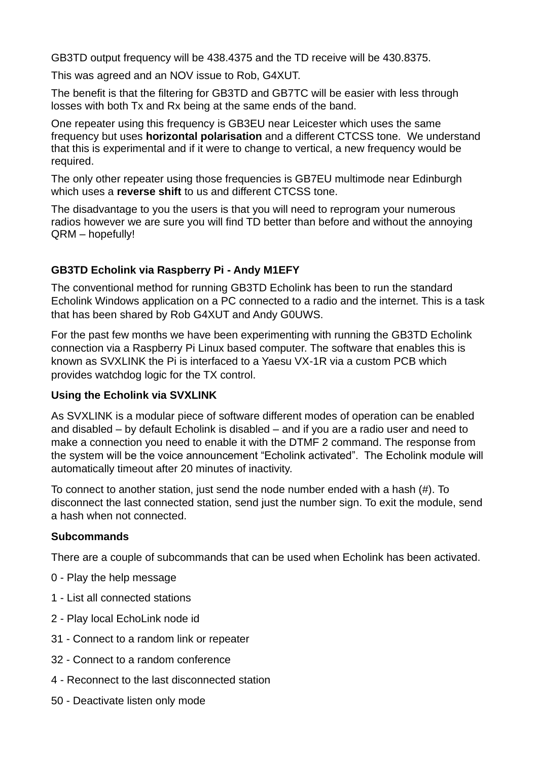GB3TD output frequency will be 438.4375 and the TD receive will be 430.8375.

This was agreed and an NOV issue to Rob, G4XUT.

The benefit is that the filtering for GB3TD and GB7TC will be easier with less through losses with both Tx and Rx being at the same ends of the band.

One repeater using this frequency is GB3EU near Leicester which uses the same frequency but uses **horizontal polarisation** and a different CTCSS tone. We understand that this is experimental and if it were to change to vertical, a new frequency would be required.

The only other repeater using those frequencies is GB7EU multimode near Edinburgh which uses a **reverse shift** to us and different CTCSS tone.

The disadvantage to you the users is that you will need to reprogram your numerous radios however we are sure you will find TD better than before and without the annoying QRM – hopefully!

#### **GB3TD Echolink via Raspberry Pi - Andy M1EFY**

The conventional method for running GB3TD Echolink has been to run the standard Echolink Windows application on a PC connected to a radio and the internet. This is a task that has been shared by Rob G4XUT and Andy G0UWS.

For the past few months we have been experimenting with running the GB3TD Echolink connection via a Raspberry Pi Linux based computer. The software that enables this is known as SVXLINK the Pi is interfaced to a Yaesu VX-1R via a custom PCB which provides watchdog logic for the TX control.

#### **Using the Echolink via SVXLINK**

As SVXLINK is a modular piece of software different modes of operation can be enabled and disabled – by default Echolink is disabled – and if you are a radio user and need to make a connection you need to enable it with the DTMF 2 command. The response from the system will be the voice announcement "Echolink activated". The Echolink module will automatically timeout after 20 minutes of inactivity.

To connect to another station, just send the node number ended with a hash (#). To disconnect the last connected station, send just the number sign. To exit the module, send a hash when not connected.

#### **Subcommands**

There are a couple of subcommands that can be used when Echolink has been activated.

- 0 Play the help message
- 1 List all connected stations
- 2 Play local EchoLink node id
- 31 Connect to a random link or repeater
- 32 Connect to a random conference
- 4 Reconnect to the last disconnected station
- 50 Deactivate listen only mode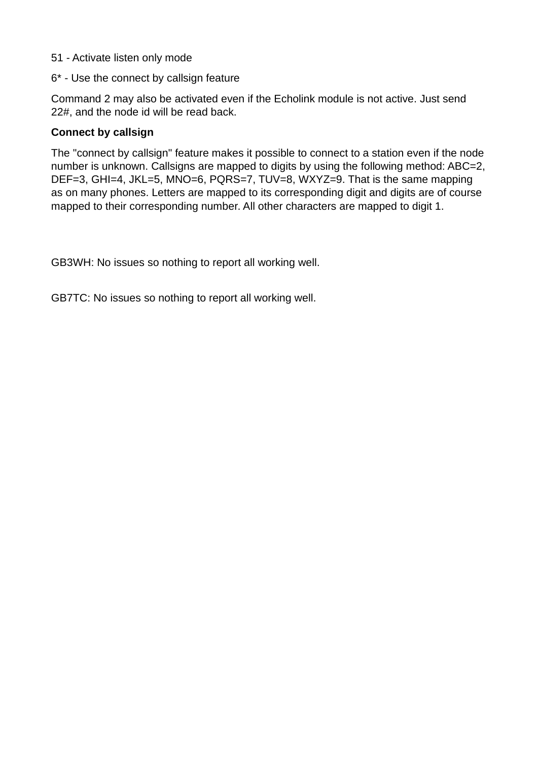- 51 Activate listen only mode
- 6\* Use the connect by callsign feature

Command 2 may also be activated even if the Echolink module is not active. Just send 22#, and the node id will be read back.

#### **Connect by callsign**

The "connect by callsign" feature makes it possible to connect to a station even if the node number is unknown. Callsigns are mapped to digits by using the following method: ABC=2, DEF=3, GHI=4, JKL=5, MNO=6, PQRS=7, TUV=8, WXYZ=9. That is the same mapping as on many phones. Letters are mapped to its corresponding digit and digits are of course mapped to their corresponding number. All other characters are mapped to digit 1.

GB3WH: No issues so nothing to report all working well.

GB7TC: No issues so nothing to report all working well.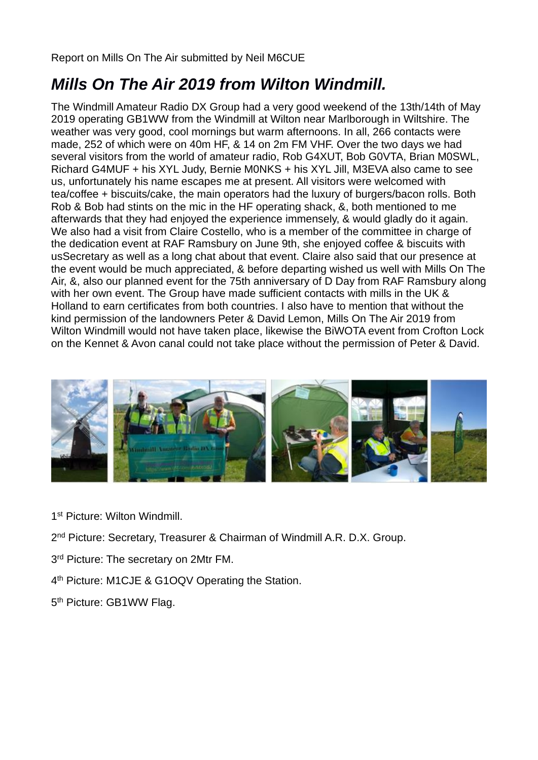Report on Mills On The Air submitted by Neil M6CUE

# *Mills On The Air 2019 from Wilton Windmill.*

The Windmill Amateur Radio DX Group had a very good weekend of the 13th/14th of May 2019 operating GB1WW from the Windmill at Wilton near Marlborough in Wiltshire. The weather was very good, cool mornings but warm afternoons. In all, 266 contacts were made, 252 of which were on 40m HF, & 14 on 2m FM VHF. Over the two days we had several visitors from the world of amateur radio, Rob G4XUT, Bob G0VTA, Brian M0SWL, Richard G4MUF + his XYL Judy, Bernie M0NKS + his XYL Jill, M3EVA also came to see us, unfortunately his name escapes me at present. All visitors were welcomed with tea/coffee + biscuits/cake, the main operators had the luxury of burgers/bacon rolls. Both Rob & Bob had stints on the mic in the HF operating shack, &, both mentioned to me afterwards that they had enjoyed the experience immensely, & would gladly do it again. We also had a visit from Claire Costello, who is a member of the committee in charge of the dedication event at RAF Ramsbury on June 9th, she enjoyed coffee & biscuits with usSecretary as well as a long chat about that event. Claire also said that our presence at the event would be much appreciated, & before departing wished us well with Mills On The Air, &, also our planned event for the 75th anniversary of D Day from RAF Ramsbury along with her own event. The Group have made sufficient contacts with mills in the UK & Holland to earn certificates from both countries. I also have to mention that without the kind permission of the landowners Peter & David Lemon, Mills On The Air 2019 from Wilton Windmill would not have taken place, likewise the BiWOTA event from Crofton Lock on the Kennet & Avon canal could not take place without the permission of Peter & David.



1 st Picture: Wilton Windmill.

2<sup>nd</sup> Picture: Secretary, Treasurer & Chairman of Windmill A.R. D.X. Group.

- 3<sup>rd</sup> Picture: The secretary on 2Mtr FM.
- 4<sup>th</sup> Picture: M1CJE & G1OQV Operating the Station.
- 5<sup>th</sup> Picture: GB1WW Flag.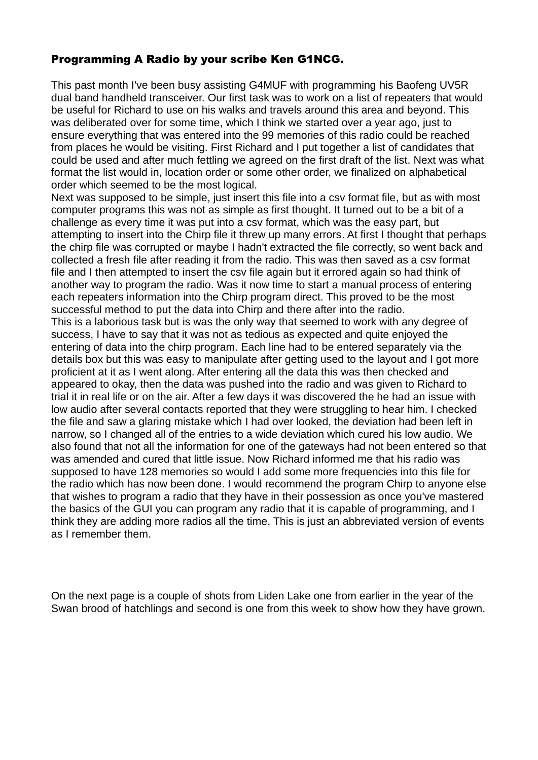### Programming A Radio by your scribe Ken G1NCG.

This past month I've been busy assisting G4MUF with programming his Baofeng UV5R dual band handheld transceiver. Our first task was to work on a list of repeaters that would be useful for Richard to use on his walks and travels around this area and beyond. This was deliberated over for some time, which I think we started over a year ago, just to ensure everything that was entered into the 99 memories of this radio could be reached from places he would be visiting. First Richard and I put together a list of candidates that could be used and after much fettling we agreed on the first draft of the list. Next was what format the list would in, location order or some other order, we finalized on alphabetical order which seemed to be the most logical.

Next was supposed to be simple, just insert this file into a csy format file, but as with most computer programs this was not as simple as first thought. It turned out to be a bit of a challenge as every time it was put into a csv format, which was the easy part, but attempting to insert into the Chirp file it threw up many errors. At first I thought that perhaps the chirp file was corrupted or maybe I hadn't extracted the file correctly, so went back and collected a fresh file after reading it from the radio. This was then saved as a csv format file and I then attempted to insert the csv file again but it errored again so had think of another way to program the radio. Was it now time to start a manual process of entering each repeaters information into the Chirp program direct. This proved to be the most successful method to put the data into Chirp and there after into the radio.

This is a laborious task but is was the only way that seemed to work with any degree of success, I have to say that it was not as tedious as expected and quite enjoyed the entering of data into the chirp program. Each line had to be entered separately via the details box but this was easy to manipulate after getting used to the layout and I got more proficient at it as I went along. After entering all the data this was then checked and appeared to okay, then the data was pushed into the radio and was given to Richard to trial it in real life or on the air. After a few days it was discovered the he had an issue with low audio after several contacts reported that they were struggling to hear him. I checked the file and saw a glaring mistake which I had over looked, the deviation had been left in narrow, so I changed all of the entries to a wide deviation which cured his low audio. We also found that not all the information for one of the gateways had not been entered so that was amended and cured that little issue. Now Richard informed me that his radio was supposed to have 128 memories so would I add some more frequencies into this file for the radio which has now been done. I would recommend the program Chirp to anyone else that wishes to program a radio that they have in their possession as once you've mastered the basics of the GUI you can program any radio that it is capable of programming, and I think they are adding more radios all the time. This is just an abbreviated version of events as I remember them.

On the next page is a couple of shots from Liden Lake one from earlier in the year of the Swan brood of hatchlings and second is one from this week to show how they have grown.